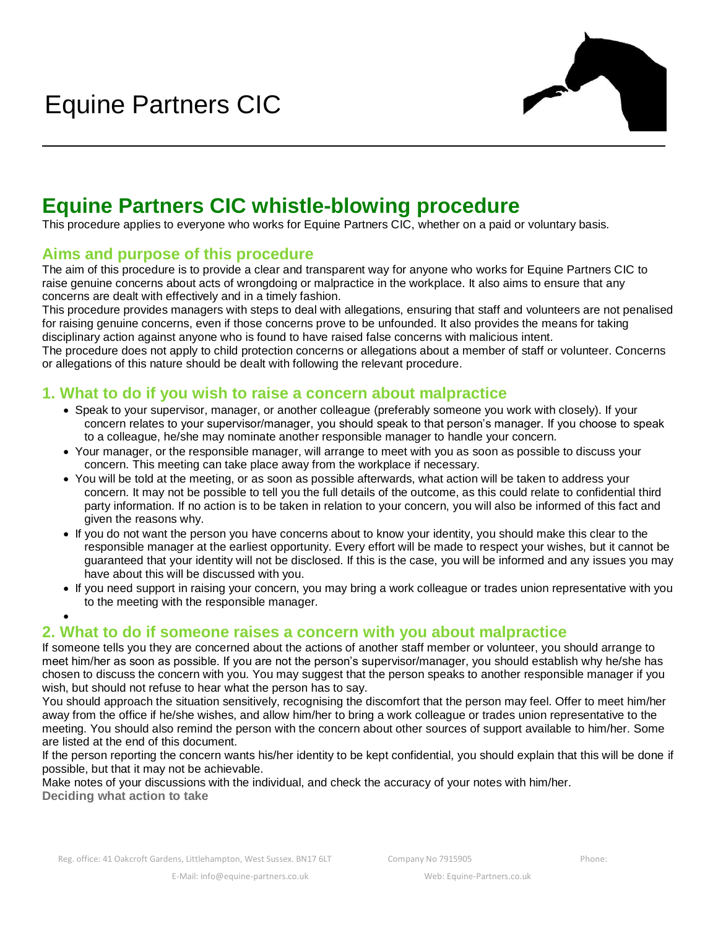

# **Equine Partners CIC whistle-blowing procedure**

This procedure applies to everyone who works for Equine Partners CIC, whether on a paid or voluntary basis.

## **Aims and purpose of this procedure**

The aim of this procedure is to provide a clear and transparent way for anyone who works for Equine Partners CIC to raise genuine concerns about acts of wrongdoing or malpractice in the workplace. It also aims to ensure that any concerns are dealt with effectively and in a timely fashion.

This procedure provides managers with steps to deal with allegations, ensuring that staff and volunteers are not penalised for raising genuine concerns, even if those concerns prove to be unfounded. It also provides the means for taking disciplinary action against anyone who is found to have raised false concerns with malicious intent.

The procedure does not apply to child protection concerns or allegations about a member of staff or volunteer. Concerns or allegations of this nature should be dealt with following the relevant procedure.

## **1. What to do if you wish to raise a concern about malpractice**

- Speak to your supervisor, manager, or another colleague (preferably someone you work with closely). If your concern relates to your supervisor/manager, you should speak to that person's manager. If you choose to speak to a colleague, he/she may nominate another responsible manager to handle your concern.
- Your manager, or the responsible manager, will arrange to meet with you as soon as possible to discuss your concern. This meeting can take place away from the workplace if necessary.
- You will be told at the meeting, or as soon as possible afterwards, what action will be taken to address your concern. It may not be possible to tell you the full details of the outcome, as this could relate to confidential third party information. If no action is to be taken in relation to your concern, you will also be informed of this fact and given the reasons why.
- If you do not want the person you have concerns about to know your identity, you should make this clear to the responsible manager at the earliest opportunity. Every effort will be made to respect your wishes, but it cannot be guaranteed that your identity will not be disclosed. If this is the case, you will be informed and any issues you may have about this will be discussed with you.
- If you need support in raising your concern, you may bring a work colleague or trades union representative with you to the meeting with the responsible manager.

## **2. What to do if someone raises a concern with you about malpractice**

If someone tells you they are concerned about the actions of another staff member or volunteer, you should arrange to meet him/her as soon as possible. If you are not the person's supervisor/manager, you should establish why he/she has chosen to discuss the concern with you. You may suggest that the person speaks to another responsible manager if you wish, but should not refuse to hear what the person has to say.

You should approach the situation sensitively, recognising the discomfort that the person may feel. Offer to meet him/her away from the office if he/she wishes, and allow him/her to bring a work colleague or trades union representative to the meeting. You should also remind the person with the concern about other sources of support available to him/her. Some are listed at the end of this document.

If the person reporting the concern wants his/her identity to be kept confidential, you should explain that this will be done if possible, but that it may not be achievable.

Make notes of your discussions with the individual, and check the accuracy of your notes with him/her. **Deciding what action to take**

•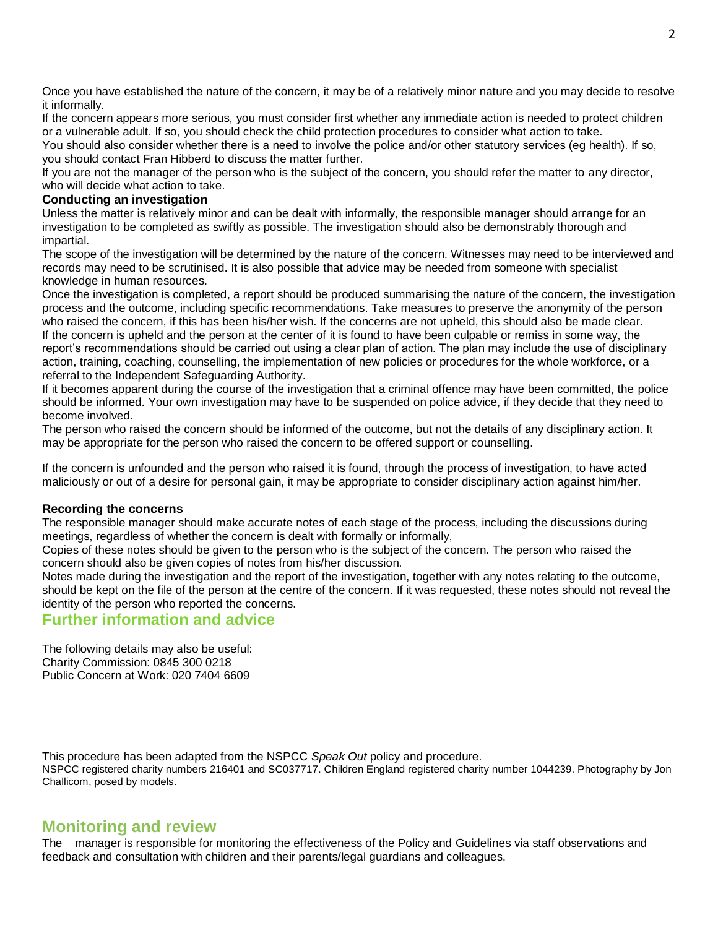Once you have established the nature of the concern, it may be of a relatively minor nature and you may decide to resolve it informally.

If the concern appears more serious, you must consider first whether any immediate action is needed to protect children or a vulnerable adult. If so, you should check the child protection procedures to consider what action to take.

You should also consider whether there is a need to involve the police and/or other statutory services (eg health). If so, you should contact Fran Hibberd to discuss the matter further.

If you are not the manager of the person who is the subject of the concern, you should refer the matter to any director, who will decide what action to take.

#### **Conducting an investigation**

Unless the matter is relatively minor and can be dealt with informally, the responsible manager should arrange for an investigation to be completed as swiftly as possible. The investigation should also be demonstrably thorough and impartial.

The scope of the investigation will be determined by the nature of the concern. Witnesses may need to be interviewed and records may need to be scrutinised. It is also possible that advice may be needed from someone with specialist knowledge in human resources.

Once the investigation is completed, a report should be produced summarising the nature of the concern, the investigation process and the outcome, including specific recommendations. Take measures to preserve the anonymity of the person who raised the concern, if this has been his/her wish. If the concerns are not upheld, this should also be made clear. If the concern is upheld and the person at the center of it is found to have been culpable or remiss in some way, the report's recommendations should be carried out using a clear plan of action. The plan may include the use of disciplinary action, training, coaching, counselling, the implementation of new policies or procedures for the whole workforce, or a

referral to the Independent Safeguarding Authority.

If it becomes apparent during the course of the investigation that a criminal offence may have been committed, the police should be informed. Your own investigation may have to be suspended on police advice, if they decide that they need to become involved.

The person who raised the concern should be informed of the outcome, but not the details of any disciplinary action. It may be appropriate for the person who raised the concern to be offered support or counselling.

If the concern is unfounded and the person who raised it is found, through the process of investigation, to have acted maliciously or out of a desire for personal gain, it may be appropriate to consider disciplinary action against him/her.

#### **Recording the concerns**

The responsible manager should make accurate notes of each stage of the process, including the discussions during meetings, regardless of whether the concern is dealt with formally or informally,

Copies of these notes should be given to the person who is the subject of the concern. The person who raised the concern should also be given copies of notes from his/her discussion.

Notes made during the investigation and the report of the investigation, together with any notes relating to the outcome, should be kept on the file of the person at the centre of the concern. If it was requested, these notes should not reveal the identity of the person who reported the concerns.

### **Further information and advice**

The following details may also be useful: Charity Commission: 0845 300 0218 Public Concern at Work: 020 7404 6609

This procedure has been adapted from the NSPCC *Speak Out* policy and procedure. NSPCC registered charity numbers 216401 and SC037717. Children England registered charity number 1044239. Photography by Jon Challicom, posed by models.

## **Monitoring and review**

The manager is responsible for monitoring the effectiveness of the Policy and Guidelines via staff observations and feedback and consultation with children and their parents/legal guardians and colleagues.